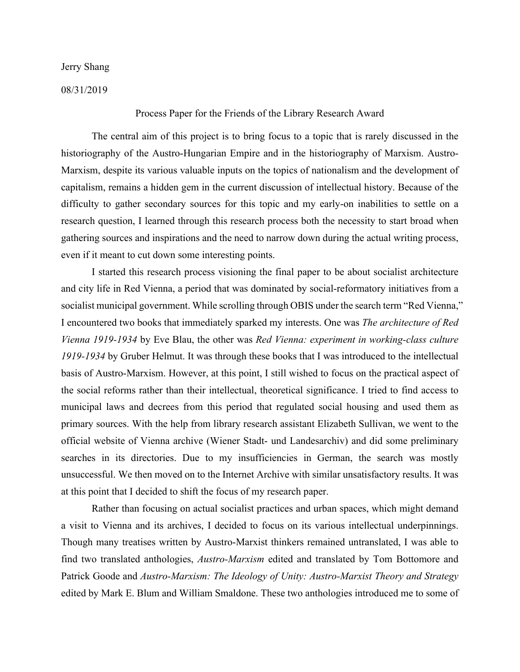Jerry Shang

08/31/2019

## Process Paper for the Friends of the Library Research Award

The central aim of this project is to bring focus to a topic that is rarely discussed in the historiography of the Austro-Hungarian Empire and in the historiography of Marxism. Austro-Marxism, despite its various valuable inputs on the topics of nationalism and the development of capitalism, remains a hidden gem in the current discussion of intellectual history. Because of the difficulty to gather secondary sources for this topic and my early-on inabilities to settle on a research question, I learned through this research process both the necessity to start broad when gathering sources and inspirations and the need to narrow down during the actual writing process, even if it meant to cut down some interesting points.

I started this research process visioning the final paper to be about socialist architecture and city life in Red Vienna, a period that was dominated by social-reformatory initiatives from a socialist municipal government. While scrolling through OBIS under the search term "Red Vienna," I encountered two books that immediately sparked my interests. One was *The architecture of Red Vienna 1919-1934* by Eve Blau, the other was *Red Vienna: experiment in working-class culture 1919-1934* by Gruber Helmut. It was through these books that I was introduced to the intellectual basis of Austro-Marxism. However, at this point, I still wished to focus on the practical aspect of the social reforms rather than their intellectual, theoretical significance. I tried to find access to municipal laws and decrees from this period that regulated social housing and used them as primary sources. With the help from library research assistant Elizabeth Sullivan, we went to the official website of Vienna archive (Wiener Stadt- und Landesarchiv) and did some preliminary searches in its directories. Due to my insufficiencies in German, the search was mostly unsuccessful. We then moved on to the Internet Archive with similar unsatisfactory results. It was at this point that I decided to shift the focus of my research paper.

Rather than focusing on actual socialist practices and urban spaces, which might demand a visit to Vienna and its archives, I decided to focus on its various intellectual underpinnings. Though many treatises written by Austro-Marxist thinkers remained untranslated, I was able to find two translated anthologies, *Austro-Marxism* edited and translated by Tom Bottomore and Patrick Goode and *Austro-Marxism: The Ideology of Unity: Austro-Marxist Theory and Strategy* edited by Mark E. Blum and William Smaldone. These two anthologies introduced me to some of